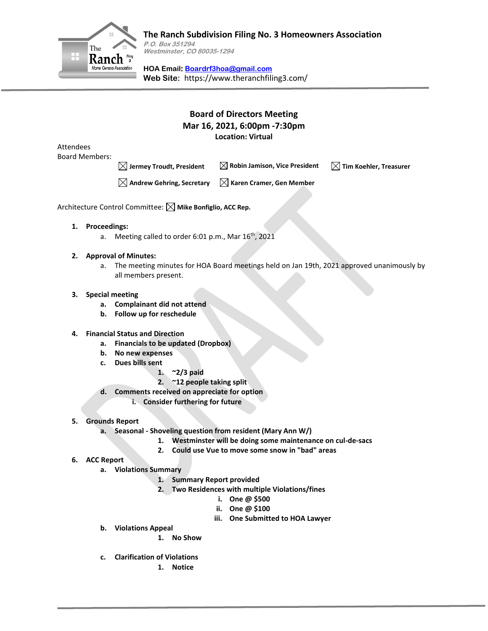

**P.O. Box 351294 Westminster, CO 80035-1294**

**HOA Email: [Boardrf3hoa@gmail.com](mailto:Boardrf3hoa@gmail.com) Web Site:** https://www.theranchfiling3.com/

# **Board of Directors Meeting Mar 16, 2021, 6:00pm -7:30pm Location: Virtual**

Attendees Board Members:

**Jermey Troudt, President Robin Jamison, Vice President Tim Koehler, Treasurer**

**Andrew Gehring, Secretary Karen Cramer, Gen Member**

Architecture Control Committee:  $\boxtimes$  Mike Bonfiglio, ACC Rep.

- **1. Proceedings:**
	- a. Meeting called to order 6:01 p.m., Mar 16<sup>th</sup>, 2021
- **2. Approval of Minutes:** 
	- a. The meeting minutes for HOA Board meetings held on Jan 19th, 2021 approved unanimously by all members present.

# **3. Special meeting**

- **a. Complainant did not attend**
- **b. Follow up for reschedule**

### **4. Financial Status and Direction**

- **a. Financials to be updated (Dropbox)**
- **b. No new expenses**
- **c. Dues bills sent**
	- **1. ~2/3 paid**
	- **2. ~12 people taking split**
- **d. Comments received on appreciate for option**
	- **i. Consider furthering for future**
- **5. Grounds Report**
	- **a. Seasonal - Shoveling question from resident (Mary Ann W/)**
		- **1. Westminster will be doing some maintenance on cul-de-sacs**
		- **2. Could use Vue to move some snow in "bad" areas**
- **6. ACC Report**
	- **a. Violations Summary**
		- **1. Summary Report provided**
		- **2. Two Residences with multiple Violations/fines**
			- **i. One @ \$500**
				- **ii. One @ \$100**
			- **iii. One Submitted to HOA Lawyer**
	- **b. Violations Appeal**
		- **1. No Show**
	- **c. Clarification of Violations**
		- **1. Notice**